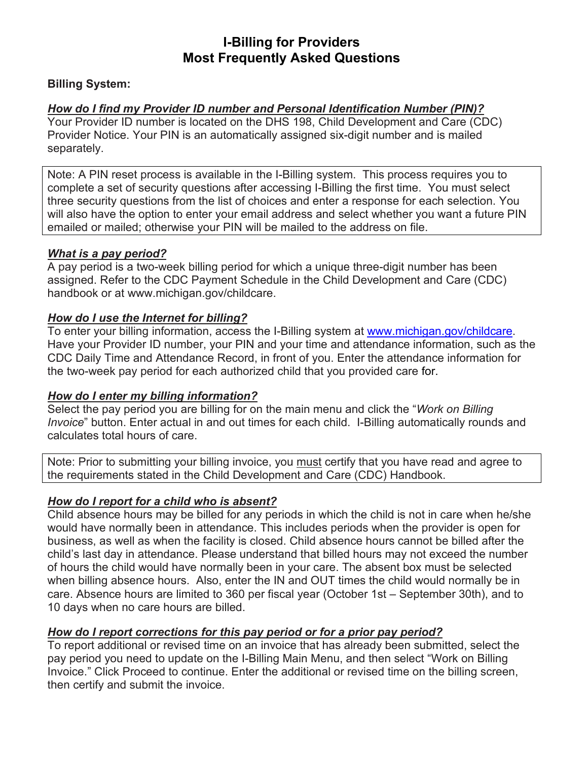# **I-Billing for Providers Most Frequently Asked Questions**

# **Billing System:**

# *How do I find my Provider ID number and Personal Identification Number (PIN)?*

Your Provider ID number is located on the DHS 198, Child Development and Care (CDC) Provider Notice. Your PIN is an automatically assigned six-digit number and is mailed separately.

Note: A PIN reset process is available in the I-Billing system. This process requires you to complete a set of security questions after accessing I-Billing the first time. You must select three security questions from the list of choices and enter a response for each selection. You will also have the option to enter your email address and select whether you want a future PIN emailed or mailed; otherwise your PIN will be mailed to the address on file.

### *What is a pay period?*

A pay period is a two-week billing period for which a unique three-digit number has been assigned. Refer to the CDC Payment Schedule in the Child Development and Care (CDC) handbook or at www.michigan.gov/childcare.

### *How do I use the Internet for billing?*

To enter your billing information, access the I-Billing system at [www.michigan.gov/childcare.](http://www.michigan.gov/childcare) Have your Provider ID number, your PIN and your time and attendance information, such as the CDC Daily Time and Attendance Record, in front of you. Enter the attendance information for the two-week pay period for each authorized child that you provided care for.

### *How do I enter my billing information?*

Select the pay period you are billing for on the main menu and click the "*Work on Billing Invoice*" button. Enter actual in and out times for each child. I-Billing automatically rounds and calculates total hours of care.

Note: Prior to submitting your billing invoice, you must certify that you have read and agree to the requirements stated in the Child Development and Care (CDC) Handbook.

### *How do I report for a child who is absent?*

Child absence hours may be billed for any periods in which the child is not in care when he/she would have normally been in attendance. This includes periods when the provider is open for business, as well as when the facility is closed. Child absence hours cannot be billed after the child's last day in attendance. Please understand that billed hours may not exceed the number of hours the child would have normally been in your care. The absent box must be selected when billing absence hours. Also, enter the IN and OUT times the child would normally be in care. Absence hours are limited to 360 per fiscal year (October 1st – September 30th), and to 10 days when no care hours are billed.

### *How do I report corrections for this pay period or for a prior pay period?*

To report additional or revised time on an invoice that has already been submitted, select the pay period you need to update on the I-Billing Main Menu, and then select "Work on Billing Invoice." Click Proceed to continue. Enter the additional or revised time on the billing screen, then certify and submit the invoice.